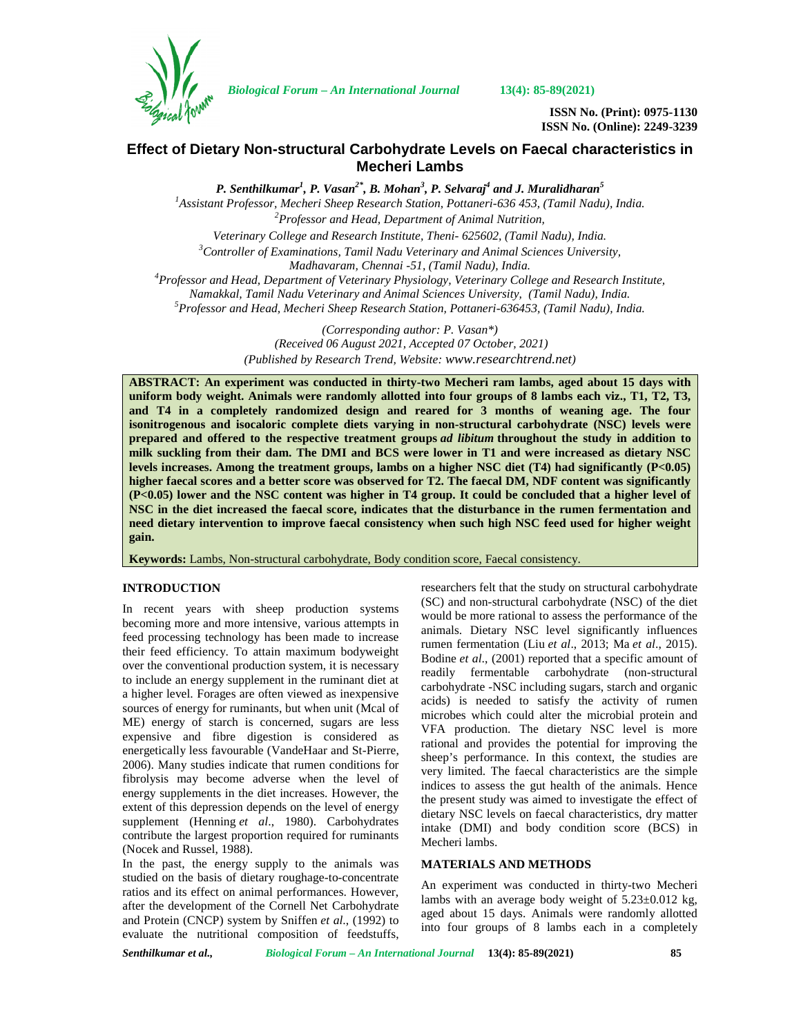

*Biological Forum – An International Journal* **13(4): 85-89(2021)**

**ISSN No. (Print): 0975-1130 ISSN No. (Online): 2249-3239**

# **Effect of Dietary Non-structural Carbohydrate Levels on Faecal characteristics in Mecheri Lambs**

*P. Senthilkumar<sup>1</sup> , P. Vasan2\* , B. Mohan<sup>3</sup> , P. Selvaraj<sup>4</sup> and J. Muralidharan<sup>5</sup> <sup>1</sup>Assistant Professor, Mecheri Sheep Research Station, Pottaneri-636 453, (Tamil Nadu), India. <sup>2</sup>Professor and Head, Department of Animal Nutrition, Veterinary College and Research Institute, Theni- 625602, (Tamil Nadu), India. <sup>3</sup>Controller of Examinations, Tamil Nadu Veterinary and Animal Sciences University, Madhavaram, Chennai -51, (Tamil Nadu), India. <sup>4</sup>Professor and Head, Department of Veterinary Physiology, Veterinary College and Research Institute, Namakkal, Tamil Nadu Veterinary and Animal Sciences University, (Tamil Nadu), India. <sup>5</sup>Professor and Head, Mecheri Sheep Research Station, Pottaneri-636453, (Tamil Nadu), India.*

> *(Corresponding author: P. Vasan\*) (Received 06 August 2021, Accepted 07 October, 2021) (Published by Research Trend, Website: <www.researchtrend.net>)*

**ABSTRACT: An experiment was conducted in thirty-two Mecheri ram lambs, aged about 15 days with uniform body weight. Animals were randomly allotted into four groups of 8 lambs each viz., T1, T2, T3, and T4 in a completely randomized design and reared for 3 months of weaning age. The four isonitrogenous and isocaloric complete diets varying in non-structural carbohydrate (NSC) levels were prepared and offered to the respective treatment groups** *ad libitum* **throughout the study in addition to milk suckling from their dam. The DMI and BCS were lower in T1 and were increased as dietary NSC levels increases. Among the treatment groups, lambs on a higher NSC diet (T4) had significantly (P<0.05) higher faecal scores and a better score was observed for T2. The faecal DM, NDF content was significantly (P<0.05) lower and the NSC content was higher in T4 group. It could be concluded that a higher level of NSC in the diet increased the faecal score, indicates that the disturbance in the rumen fermentation and need dietary intervention to improve faecal consistency when such high NSC feed used for higher weight gain.**

**Keywords:** Lambs, Non-structural carbohydrate, Body condition score, Faecal consistency.

### **INTRODUCTION**

In recent years with sheep production systems becoming more and more intensive, various attempts in feed processing technology has been made to increase their feed efficiency. To attain maximum bodyweight over the conventional production system, it is necessary to include an energy supplement in the ruminant diet at a higher level. Forages are often viewed as inexpensive sources of energy for ruminants, but when unit (Mcal of ME) energy of starch is concerned, sugars are less expensive and fibre digestion is considered as energetically less favourable (VandeHaar and St-Pierre, 2006). Many studies indicate that rumen conditions for fibrolysis may become adverse when the level of energy supplements in the diet increases. However, the extent of this depression depends on the level of energy supplement (Henning *et al*., 1980). Carbohydrates contribute the largest proportion required for ruminants (Nocek and Russel, 1988).

In the past, the energy supply to the animals was studied on the basis of dietary roughage-to-concentrate ratios and its effect on animal performances. However, after the development of the Cornell Net Carbohydrate and Protein (CNCP) system by Sniffen *et al*., (1992) to evaluate the nutritional composition of feedstuffs,

researchers felt that the study on structural carbohydrate (SC) and non-structural carbohydrate (NSC) of the diet would be more rational to assess the performance of the animals. Dietary NSC level significantly influences rumen fermentation (Liu *et al*., 2013; Ma *et al*., 2015). Bodine *et al*., (2001) reported that a specific amount of readily fermentable carbohydrate (non-structural carbohydrate -NSC including sugars, starch and organic acids) is needed to satisfy the activity of rumen microbes which could alter the microbial protein and VFA production. The dietary NSC level is more rational and provides the potential for improving the sheep's performance. In this context, the studies are very limited. The faecal characteristics are the simple indices to assess the gut health of the animals. Hence the present study was aimed to investigate the effect of dietary NSC levels on faecal characteristics, dry matter intake (DMI) and body condition score (BCS) in Mecheri lambs.

## **MATERIALS AND METHODS**

An experiment was conducted in thirty-two Mecheri lambs with an average body weight of  $5.23 \pm 0.012$  kg, aged about 15 days. Animals were randomly allotted into four groups of 8 lambs each in a completely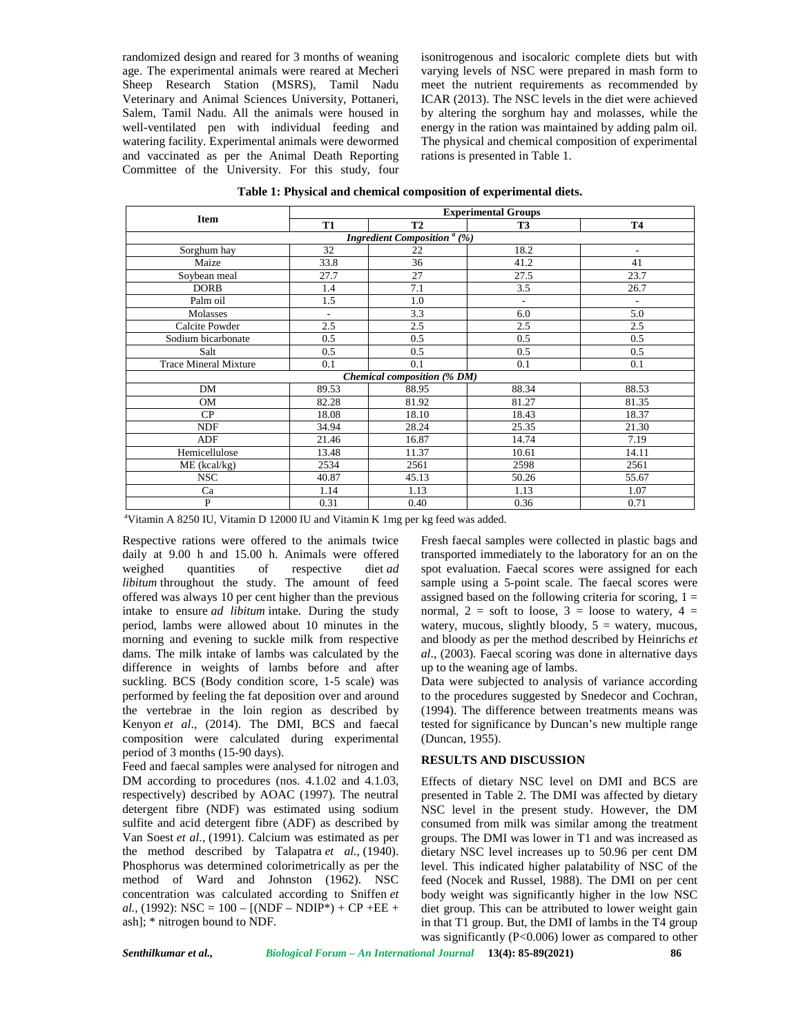randomized design and reared for 3 months of weaning age. The experimental animals were reared at Mecheri Sheep Research Station (MSRS), Tamil Nadu Veterinary and Animal Sciences University, Pottaneri, Salem, Tamil Nadu. All the animals were housed in well-ventilated pen with individual feeding and watering facility. Experimental animals were dewormed and vaccinated as per the Animal Death Reporting Committee of the University. For this study, four isonitrogenous and isocaloric complete diets but with varying levels of NSC were prepared in mash form to meet the nutrient requirements as recommended by ICAR (2013). The NSC levels in the diet were achieved by altering the sorghum hay and molasses, while the energy in the ration was maintained by adding palm oil. The physical and chemical composition of experimental rations is presented in Table 1.

| Item                                                        | <b>Experimental Groups</b> |           |                          |                          |  |  |  |  |
|-------------------------------------------------------------|----------------------------|-----------|--------------------------|--------------------------|--|--|--|--|
|                                                             | <b>T1</b>                  | <b>T2</b> | <b>T3</b>                | <b>T4</b>                |  |  |  |  |
| <b>Ingredient Composition</b> <sup><math>a</math></sup> (%) |                            |           |                          |                          |  |  |  |  |
| Sorghum hay                                                 | 32                         | 22        | 18.2                     | $\overline{\phantom{a}}$ |  |  |  |  |
| Maize                                                       | 33.8                       | 36        | 41.2                     | 41                       |  |  |  |  |
| Soybean meal                                                | 27.7                       | 27        | 27.5                     | 23.7                     |  |  |  |  |
| <b>DORB</b>                                                 | 1.4                        | 7.1       | 3.5                      | 26.7                     |  |  |  |  |
| Palm oil                                                    | 1.5                        | 1.0       | $\overline{\phantom{a}}$ | $\overline{\phantom{a}}$ |  |  |  |  |
| Molasses                                                    | $\overline{\phantom{a}}$   | 3.3       | 6.0                      | 5.0                      |  |  |  |  |
| Calcite Powder                                              | 2.5                        | 2.5       | 2.5                      | 2.5                      |  |  |  |  |
| Sodium bicarbonate                                          | 0.5                        | 0.5       | 0.5                      | 0.5                      |  |  |  |  |
| Salt                                                        | 0.5                        | 0.5       | 0.5                      | 0.5                      |  |  |  |  |
| <b>Trace Mineral Mixture</b>                                | 0.1                        | 0.1       | 0.1                      | 0.1                      |  |  |  |  |
| <b>Chemical composition (% DM)</b>                          |                            |           |                          |                          |  |  |  |  |
| <b>DM</b>                                                   | 89.53                      | 88.95     | 88.34                    | 88.53                    |  |  |  |  |
| <b>OM</b>                                                   | 82.28                      | 81.92     | 81.27                    | 81.35                    |  |  |  |  |
| CP                                                          | 18.08                      | 18.10     | 18.43                    | 18.37                    |  |  |  |  |
| <b>NDF</b>                                                  | 34.94                      | 28.24     | 25.35                    | 21.30                    |  |  |  |  |
| ADF                                                         | 21.46                      | 16.87     | 14.74                    | 7.19                     |  |  |  |  |
| Hemicellulose                                               | 13.48                      | 11.37     | 10.61                    | 14.11                    |  |  |  |  |
| ME (kcal/kg)                                                | 2534                       | 2561      | 2598                     | 2561                     |  |  |  |  |
| <b>NSC</b>                                                  | 40.87                      | 45.13     | 50.26                    | 55.67                    |  |  |  |  |
| Ca                                                          | 1.14                       | 1.13      | 1.13                     | 1.07                     |  |  |  |  |
| P                                                           | 0.31                       | 0.40      | 0.36                     | 0.71                     |  |  |  |  |

**Table 1: Physical and chemical composition of experimental diets.**

<sup>a</sup>Vitamin A 8250 IU, Vitamin D 12000 IU and Vitamin K 1mg per kg feed was added.

Respective rations were offered to the animals twice daily at 9.00 h and 15.00 h. Animals were offered weighed quantities of respective diet *ad libitum* throughout the study. The amount of feed offered was always 10 per cent higher than the previous intake to ensure *ad libitum* intake. During the study period, lambs were allowed about 10 minutes in the morning and evening to suckle milk from respective dams. The milk intake of lambs was calculated by the difference in weights of lambs before and after suckling. BCS (Body condition score, 1-5 scale) was performed by feeling the fat deposition over and around the vertebrae in the loin region as described by Kenyon *et al*., (2014). The DMI, BCS and faecal composition were calculated during experimental period of 3 months (15-90 days).

Feed and faecal samples were analysed for nitrogen and DM according to procedures (nos. 4.1.02 and 4.1.03, respectively) described by AOAC (1997). The neutral detergent fibre (NDF) was estimated using sodium sulfite and acid detergent fibre (ADF) as described by Van Soest *et al.,* (1991). Calcium was estimated as per the method described by Talapatra *et al.,* (1940). Phosphorus was determined colorimetrically as per the method of Ward and Johnston (1962). NSC concentration was calculated according to Sniffen *et al.,* (1992): NSC = 100 – [(NDF – NDIP\*) + CP +EE + ash]; \* nitrogen bound to NDF.

Fresh faecal samples were collected in plastic bags and transported immediately to the laboratory for an on the spot evaluation. Faecal scores were assigned for each sample using a 5-point scale. The faecal scores were assigned based on the following criteria for scoring,  $1 =$ normal,  $2 = \text{soft}$  to loose,  $3 = \text{loose}$  to watery,  $4 =$ watery, mucous, slightly bloody,  $5 =$  watery, mucous, and bloody as per the method described by Heinrichs *et al*., (2003). Faecal scoring was done in alternative days up to the weaning age of lambs.

Data were subjected to analysis of variance according to the procedures suggested by Snedecor and Cochran, (1994). The difference between treatments means was tested for significance by Duncan's new multiple range (Duncan, 1955).

### **RESULTS AND DISCUSSION**

Effects of dietary NSC level on DMI and BCS are presented in Table 2. The DMI was affected by dietary NSC level in the present study. However, the DM consumed from milk was similar among the treatment groups. The DMI was lower in T1 and was increased as dietary NSC level increases up to 50.96 per cent DM level. This indicated higher palatability of NSC of the feed (Nocek and Russel, 1988). The DMI on per cent body weight was significantly higher in the low NSC diet group. This can be attributed to lower weight gain in that T1 group. But, the DMI of lambs in the T4 group was significantly (P<0.006) lower as compared to other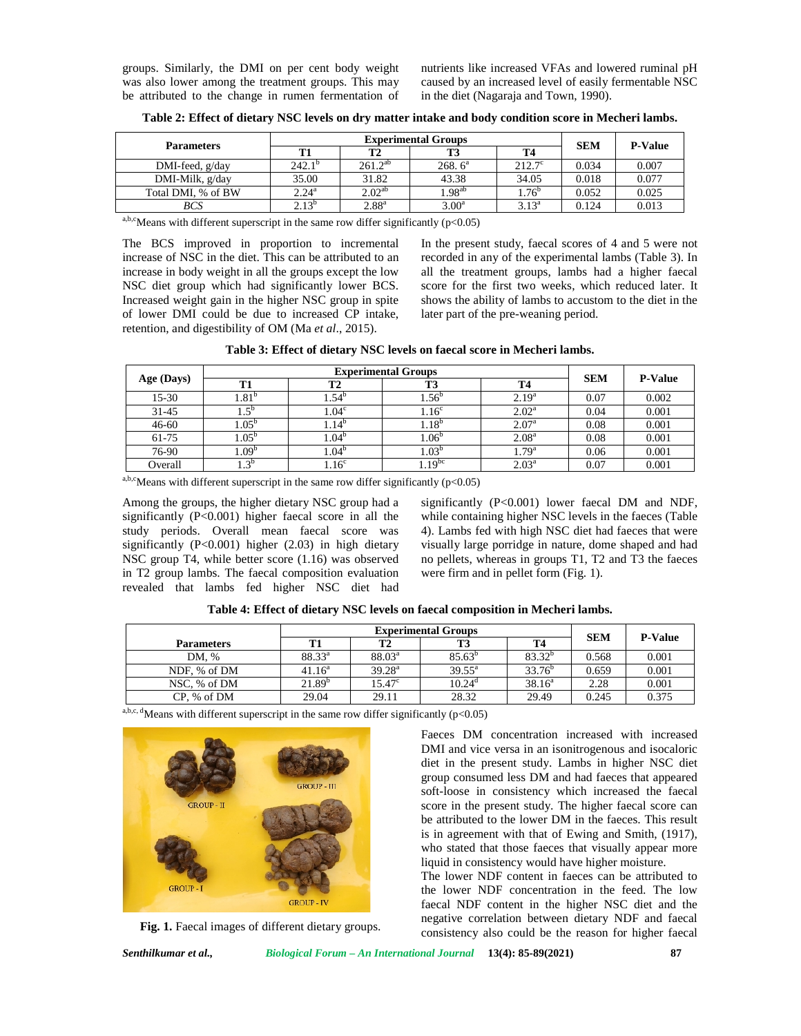groups. Similarly, the DMI on per cent body weight was also lower among the treatment groups. This may be attributed to the change in rumen fermentation of

nutrients like increased VFAs and lowered ruminal pH caused by an increased level of easily fermentable NSC in the diet (Nagaraja and Town, 1990).

| <b>Parameters</b>    |                   | <b>Experimental Groups</b> |                    |                 |            | <b>P-Value</b> |
|----------------------|-------------------|----------------------------|--------------------|-----------------|------------|----------------|
|                      |                   | <b>T2</b>                  |                    | Т4              | <b>SEM</b> |                |
| $DMI$ -feed, $g/day$ | $242.1^{b}$       | $261.2^{ab}$               | 268.6 <sup>a</sup> | $212.7^{\circ}$ | 0.034      | 0.007          |
| DMI-Milk, g/day      | 35.00             | 31.82                      | 43.38              | 34.05           | 0.018      | 0.077          |
| Total DMI, % of BW   | $2.24^{\rm a}$    | $2.02^{ab}$                | $1.98^{ab}$        | $1.76^{\circ}$  | 0.052      | 0.025          |
| <b>BCS</b>           | 2.12 <sup>b</sup> | 2.88 <sup>a</sup>          | 3.00 <sup>a</sup>  | $3.13^{a}$      | 0.124      | 0.013          |

**Table 2: Effect of dietary NSC levels on dry matter intake and body condition score in Mecheri lambs.**

*BCS* 2.13<sup>b</sup> 2.88<sup>a</sup> 3.00<sup>a</sup> 3.13<sup>a</sup> 0.124 0.013

a,b,cMeans with different superscript in the same row differ significantly ( $p$ <0.05)

The BCS improved in proportion to incremental increase of NSC in the diet. This can be attributed to an increase in body weight in all the groups except the low NSC diet group which had significantly lower BCS. Increased weight gain in the higher NSC group in spite of lower DMI could be due to increased CP intake, retention, and digestibility of OM (Ma *et al*., 2015).

In the present study, faecal scores of 4 and 5 were not recorded in any of the experimental lambs (Table 3). In all the treatment groups, lambs had a higher faecal score for the first two weeks, which reduced later. It shows the ability of lambs to accustom to the diet in the later part of the pre-weaning period.

| Table 3: Effect of dietary NSC levels on faecal score in Mecheri lambs. |
|-------------------------------------------------------------------------|
|-------------------------------------------------------------------------|

|                  |                                  | <b>Experimental Groups</b> |                    |                   |                |       |
|------------------|----------------------------------|----------------------------|--------------------|-------------------|----------------|-------|
| Age (Days)<br>T1 | T <sub>2</sub>                   | <b>T3</b>                  |                    | <b>SEM</b>        | <b>P-Value</b> |       |
| $15-30$          | $1.81^{b}$                       | . .54°                     | $1.56^{\circ}$     | 2.19 <sup>a</sup> | 0.07           | 0.002 |
| $31 - 45$        | $.5^{\circ}$                     | 1.04 <sup>c</sup>          | 1.16 <sup>c</sup>  | 2.02 <sup>a</sup> | 0.04           | 0.001 |
| $46 - 60$        | $1.05^{6}$                       | $1.14^{b}$                 | $1.18^{b}$         | 2.07 <sup>a</sup> | 0.08           | 0.001 |
| 61-75            | .05 <sup>b</sup>                 | $1.04^{\circ}$             | $1.06^{o}$         | 2.08 <sup>a</sup> | 0.08           | 0.001 |
| 76-90            | $0.09^b$                         | $1.04^{b}$                 | $1.03^{\circ}$     | $1.79^{\rm a}$    | 0.06           | 0.001 |
| Overall          | $\cdot$ <sup>3<sup>b</sup></sup> | 1.16 <sup>c</sup>          | 1.19 <sup>bc</sup> | $2.03^{\rm a}$    | 0.07           | 0.001 |

a,b,cMeans with different superscript in the same row differ significantly ( $p<0.05$ )

Among the groups, the higher dietary NSC group had a significantly (P<0.001) higher faecal score in all the study periods. Overall mean faecal score was significantly (P<0.001) higher (2.03) in high dietary NSC group T4, while better score (1.16) was observed in T2 group lambs. The faecal composition evaluation revealed that lambs fed higher NSC diet had

significantly (P<0.001) lower faecal DM and NDF, while containing higher NSC levels in the faeces (Table 4). Lambs fed with high NSC diet had faeces that were visually large porridge in nature, dome shaped and had no pellets, whereas in groups T1, T2 and T3 the faeces were firm and in pellet form (Fig. 1).

Faeces DM concentration increased with increased DMI and vice versa in an isonitrogenous and isocaloric diet in the present study. Lambs in higher NSC diet group consumed less DM and had faeces that appeared soft-loose in consistency which increased the faecal score in the present study. The higher faecal score can be attributed to the lower DM in the faeces. This result is in agreement with that of Ewing and Smith, (1917), who stated that those faeces that visually appear more liquid in consistency would have higher moisture. The lower NDF content in faeces can be attributed to the lower NDF concentration in the feed. The low faecal NDF content in the higher NSC diet and the negative correlation between dietary NDF and faecal consistency also could be the reason for higher faecal

| Table 4: Effect of dietary NSC levels on faecal composition in Mecheri lambs. |  |
|-------------------------------------------------------------------------------|--|
|-------------------------------------------------------------------------------|--|

|                   | <b>Experimental Groups</b> |                    |                 |             | <b>SEM</b> | <b>P-Value</b> |
|-------------------|----------------------------|--------------------|-----------------|-------------|------------|----------------|
| <b>Parameters</b> | T1                         |                    |                 | <b>T4</b>   |            |                |
| DM, %             | $88.33^{a}$                | $88.03^{\circ}$    | $85.63^{o}$     | $83.32^{b}$ | 0.568      | 0.001          |
| NDF, % of DM      | $41.16^a$                  | 39.28 <sup>a</sup> | $39.55^{\rm a}$ | $33.76^b$   | 0.659      | 0.001          |
| NSC, % of DM      | 21.89 <sup>b</sup>         | $15.47^{\circ}$    | $10.24^d$       | $38.16^a$   | 2.28       | 0.001          |
| CP. % of DM       | 29.04                      | 29.11              | 28.32           | 29.49       | 0.245      | 0.375          |

a,b,c, dMeans with different superscript in the same row differ significantly ( $p$ <0.05)



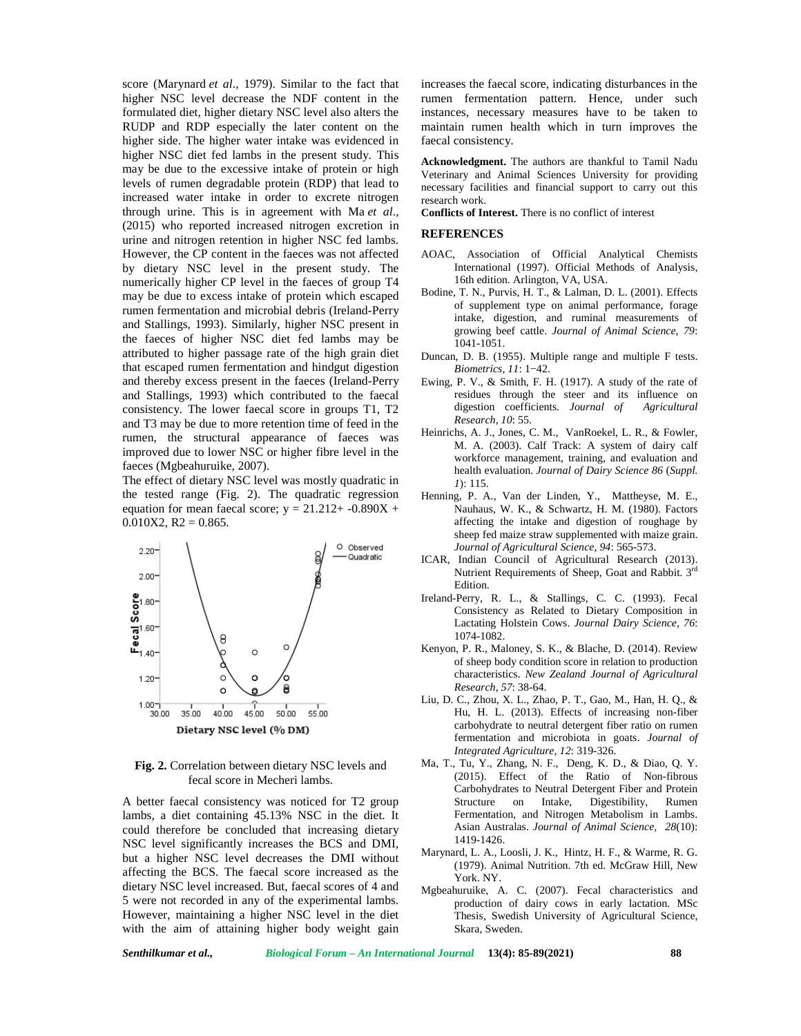score (Marynard *et al*., 1979). Similar to the fact that higher NSC level decrease the NDF content in the formulated diet, higher dietary NSC level also alters the RUDP and RDP especially the later content on the higher side. The higher water intake was evidenced in higher NSC diet fed lambs in the present study. This may be due to the excessive intake of protein or high levels of rumen degradable protein (RDP) that lead to increased water intake in order to excrete nitrogen through urine. This is in agreement with Ma *et al*., (2015) who reported increased nitrogen excretion in urine and nitrogen retention in higher NSC fed lambs. However, the CP content in the faeces was not affected by dietary NSC level in the present study. The numerically higher CP level in the faeces of group T4 may be due to excess intake of protein which escaped rumen fermentation and microbial debris (Ireland-Perry and Stallings, 1993). Similarly, higher NSC present in the faeces of higher NSC diet fed lambs may be attributed to higher passage rate of the high grain diet that escaped rumen fermentation and hindgut digestion and thereby excess present in the faeces (Ireland-Perry and Stallings, 1993) which contributed to the faecal consistency. The lower faecal score in groups T1, T2 and T3 may be due to more retention time of feed in the rumen, the structural appearance of faeces was improved due to lower NSC or higher fibre level in the faeces (Mgbeahuruike, 2007).

The effect of dietary NSC level was mostly quadratic in the tested range (Fig. 2). The quadratic regression equation for mean faecal score;  $y = 21.212 + -0.890X +$  $0.010X2$ , R2 = 0.865.



**Fig. 2.** Correlation between dietary NSC levels and fecal score in Mecheri lambs.

A better faecal consistency was noticed for T2 group lambs, a diet containing 45.13% NSC in the diet. It could therefore be concluded that increasing dietary NSC level significantly increases the BCS and DMI, but a higher NSC level decreases the DMI without affecting the BCS. The faecal score increased as the dietary NSC level increased. But, faecal scores of 4 and 5 were not recorded in any of the experimental lambs. However, maintaining a higher NSC level in the diet with the aim of attaining higher body weight gain increases the faecal score, indicating disturbances in the rumen fermentation pattern. Hence, under such instances, necessary measures have to be taken to maintain rumen health which in turn improves the faecal consistency.

**Acknowledgment.** The authors are thankful to Tamil Nadu Veterinary and Animal Sciences University for providing necessary facilities and financial support to carry out this research work.

**Conflicts of Interest.** There is no conflict of interest

#### **REFERENCES**

- AOAC, Association of Official Analytical Chemists International (1997). Official Methods of Analysis, 16th edition. Arlington, VA, USA.
- Bodine, T. N., Purvis, H. T., & Lalman, D. L. (2001). Effects of supplement type on animal performance, forage intake, digestion, and ruminal measurements of growing beef cattle. *Journal of Animal Science, 79*: 1041-1051.
- Duncan, D. B. (1955). Multiple range and multiple F tests. *Biometrics, 11*: 1−42.
- Ewing, P. V., & Smith, F. H. (1917). A study of the rate of residues through the steer and its influence on digestion coefficients. *Journal of Agricultural Research, 10*: 55.
- Heinrichs, A. J., Jones, C. M., VanRoekel, L. R., & Fowler, M. A. (2003). Calf Track: A system of dairy calf workforce management, training, and evaluation and health evaluation. *Journal of Dairy Science 86* (*Suppl. 1*): 115.
- Henning, P. A., Van der Linden, Y., Mattheyse, M. E., Nauhaus, W. K., & Schwartz, H. M. (1980). Factors affecting the intake and digestion of roughage by sheep fed maize straw supplemented with maize grain. *Journal of Agricultural Science, 94*: 565-573.
- ICAR, Indian Council of Agricultural Research (2013). Nutrient Requirements of Sheep, Goat and Rabbit. 3rd Edition.
- Ireland-Perry, R. L., & Stallings, C. C. (1993). Fecal Consistency as Related to Dietary Composition in Lactating Holstein Cows. *Journal Dairy Science, 76*: 1074-1082.
- Kenyon, P. R., Maloney, S. K., & Blache, D. (2014). Review of sheep body condition score in relation to production characteristics. *New Zealand Journal of Agricultural Research, 57*: 38-64.
- Liu, D. C., Zhou, X. L., Zhao, P. T., Gao, M., Han, H. Q., & Hu, H. L. (2013). Effects of increasing non-fiber carbohydrate to neutral detergent fiber ratio on rumen fermentation and microbiota in goats. *Journal of Integrated Agriculture, 12*: 319-326.
- Ma, T., Tu, Y., Zhang, N. F., Deng, K. D., & Diao, Q. Y. (2015). Effect of the Ratio of Non-fibrous Carbohydrates to Neutral Detergent Fiber and Protein Structure on Intake, Digestibility, Rumen Fermentation, and Nitrogen Metabolism in Lambs. Asian Australas. *Journal of Animal Science, 28*(10): 1419-1426.
- Marynard, L. A., Loosli, J. K., Hintz, H. F., & Warme, R. G. (1979). Animal Nutrition. 7th ed. McGraw Hill, New York. NY.
- Mgbeahuruike, A. C. (2007). Fecal characteristics and production of dairy cows in early lactation. MSc Thesis, Swedish University of Agricultural Science, Skara, Sweden.

*Senthilkumar et al., Biological Forum – An International Journal* **13(4): 85-89(2021) 88**